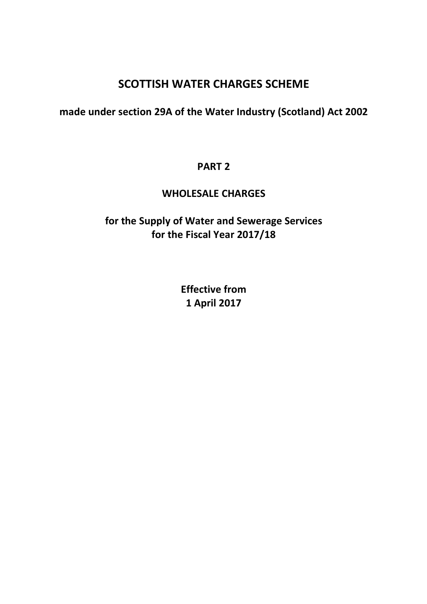# SCOTTISH WATER CHARGES SCHEME

# made under section 29A of the Water Industry (Scotland) Act 2002

# PART 2

# WHOLESALE CHARGES

# for the Supply of Water and Sewerage Services for the Fiscal Year 2017/18

Effective from 1 April 2017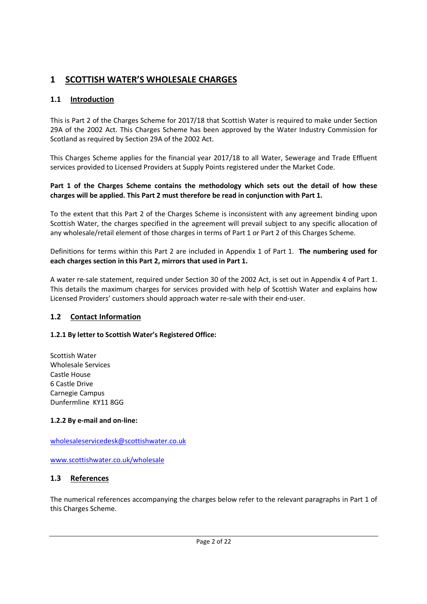# 1 SCOTTISH WATER'S WHOLESALE CHARGES

# 1.1 Introduction

This is Part 2 of the Charges Scheme for 2017/18 that Scottish Water is required to make under Section 29A of the 2002 Act. This Charges Scheme has been approved by the Water Industry Commission for Scotland as required by Section 29A of the 2002 Act.

This Charges Scheme applies for the financial year 2017/18 to all Water, Sewerage and Trade Effluent services provided to Licensed Providers at Supply Points registered under the Market Code.

### Part 1 of the Charges Scheme contains the methodology which sets out the detail of how these charges will be applied. This Part 2 must therefore be read in conjunction with Part 1.

To the extent that this Part 2 of the Charges Scheme is inconsistent with any agreement binding upon Scottish Water, the charges specified in the agreement will prevail subject to any specific allocation of any wholesale/retail element of those charges in terms of Part 1 or Part 2 of this Charges Scheme.

Definitions for terms within this Part 2 are included in Appendix 1 of Part 1. The numbering used for each charges section in this Part 2, mirrors that used in Part 1.

A water re-sale statement, required under Section 30 of the 2002 Act, is set out in Appendix 4 of Part 1. This details the maximum charges for services provided with help of Scottish Water and explains how Licensed Providers' customers should approach water re-sale with their end-user.

# 1.2 Contact Information

### 1.2.1 By letter to Scottish Water's Registered Office:

Scottish Water Wholesale Services Castle House 6 Castle Drive Carnegie Campus Dunfermline KY11 8GG

### 1.2.2 By e-mail and on-line:

### wholesaleservicedesk@scottishwater.co.uk

www.scottishwater.co.uk/wholesale

### 1.3 References

The numerical references accompanying the charges below refer to the relevant paragraphs in Part 1 of this Charges Scheme.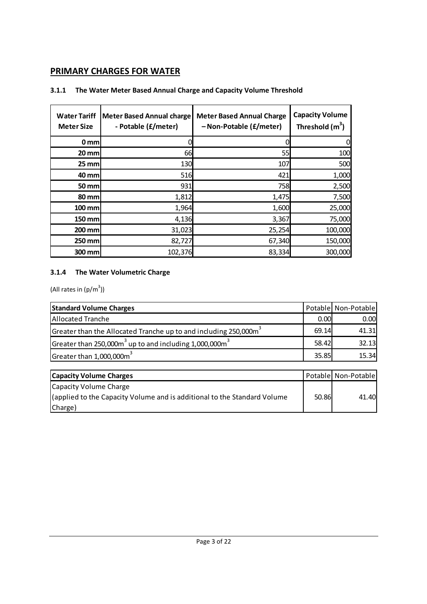# PRIMARY CHARGES FOR WATER

# 3.1.1 The Water Meter Based Annual Charge and Capacity Volume Threshold

| <b>Water Tariff</b><br><b>Meter Size</b> | <b>Meter Based Annual charge</b><br>- Potable (£/meter) | <b>Meter Based Annual Charge</b><br>- Non-Potable (£/meter) | <b>Capacity Volume</b><br>Threshold $(m3)$ |
|------------------------------------------|---------------------------------------------------------|-------------------------------------------------------------|--------------------------------------------|
| 0 <sub>mm</sub>                          |                                                         |                                                             | 0                                          |
| $20$ mm                                  | 66                                                      | 55                                                          | 100                                        |
| $25$ mm                                  | 130                                                     | 107                                                         | 500                                        |
| 40 mm                                    | 516                                                     | 421                                                         | 1,000                                      |
| 50 mm                                    | 931                                                     | 758                                                         | 2,500                                      |
| <b>80 mm</b>                             | 1,812                                                   | 1,475                                                       | 7,500                                      |
| 100 mm                                   | 1,964                                                   | 1,600                                                       | 25,000                                     |
| 150 mm                                   | 4,136                                                   | 3,367                                                       | 75,000                                     |
| 200 mm                                   | 31,023                                                  | 25,254                                                      | 100,000                                    |
| 250 mm                                   | 82,727                                                  | 67,340                                                      | 150,000                                    |
| 300 mm                                   | 102,376                                                 | 83,334                                                      | 300,000                                    |

# 3.1.4 The Water Volumetric Charge

(All rates in  $(p/m^3)$ )

| <b>Standard Volume Charges</b>                                      |       | Potable Non-Potable |
|---------------------------------------------------------------------|-------|---------------------|
| <b>Allocated Tranche</b>                                            | 0.00  | 0.00                |
| Greater than the Allocated Tranche up to and including 250,000 $m3$ | 69.14 | 41.31               |
| Greater than 250,000 $m3$ up to and including 1,000,000 $m3$        | 58.42 | 32.13               |
| Greater than $1,000,000\text{m}^3$                                  | 35.85 | 15.34               |

| <b>Capacity Volume Charges</b>                                           |       | Potable Non-Potable |
|--------------------------------------------------------------------------|-------|---------------------|
| Capacity Volume Charge                                                   |       |                     |
| (applied to the Capacity Volume and is additional to the Standard Volume | 50.86 | 41.40               |
| Charge)                                                                  |       |                     |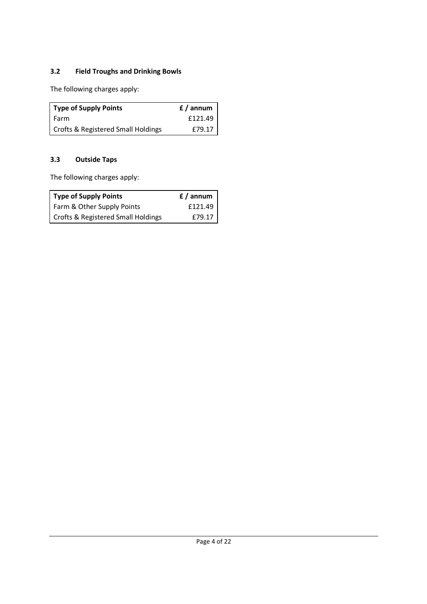# 3.2 Field Troughs and Drinking Bowls

The following charges apply:

| <b>Type of Supply Points</b>       | $f /$ annum |
|------------------------------------|-------------|
| Farm                               | f121.49     |
| Crofts & Registered Small Holdings | f 79.17     |

# 3.3 Outside Taps

The following charges apply:

| <b>Type of Supply Points</b>       | f / annum |
|------------------------------------|-----------|
| Farm & Other Supply Points         | f121.49   |
| Crofts & Registered Small Holdings | f 79.17   |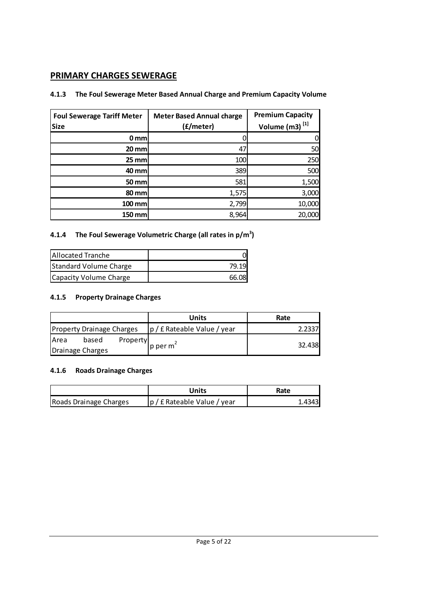# PRIMARY CHARGES SEWERAGE

# 4.1.3 The Foul Sewerage Meter Based Annual Charge and Premium Capacity Volume

| <b>Foul Sewerage Tariff Meter</b><br><b>Size</b> | <b>Meter Based Annual charge</b><br>(£/meter) | <b>Premium Capacity</b><br>Volume (m3) <sup>[1]</sup> |
|--------------------------------------------------|-----------------------------------------------|-------------------------------------------------------|
| 0 <sub>mm</sub>                                  |                                               | 0                                                     |
| $20$ mm                                          | 47                                            | 50                                                    |
| $25$ mm                                          | 100                                           | 250                                                   |
| 40 mm                                            | 389                                           | 500                                                   |
| 50 mm                                            | 581                                           | 1,500                                                 |
| 80 mm                                            | 1,575                                         | 3,000                                                 |
| $100$ mm                                         | 2,799                                         | 10,000                                                |
| 150 mm                                           | 8,964                                         | 20,000                                                |

# 4.1.4 The Foul Sewerage Volumetric Charge (all rates in  $p/m^3$ )

| <b>Allocated Tranche</b> |       |
|--------------------------|-------|
| Standard Volume Charge   | 79.1° |
| Capacity Volume Charge   | 66.08 |

# 4.1.5 Property Drainage Charges

| Units<br>Rate                 |
|-------------------------------|
| $p / f$ Rateable Value / year |
| 32.438                        |
|                               |

# 4.1.6 Roads Drainage Charges

|                        | Units                       | Rate    |
|------------------------|-----------------------------|---------|
| Roads Drainage Charges | p / £ Rateable Value / year | 1.43431 |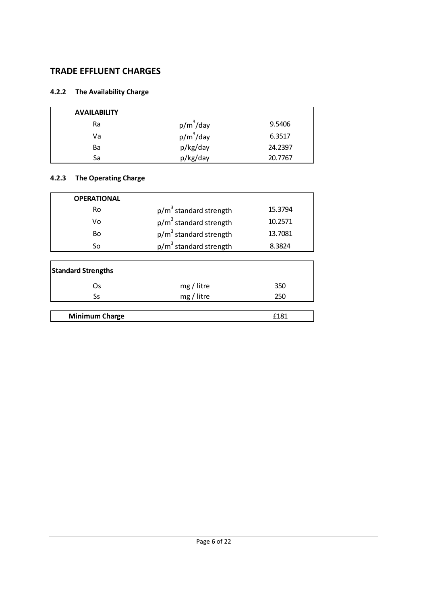# TRADE EFFLUENT CHARGES

# 4.2.2 The Availability Charge

| <b>AVAILABILITY</b> |              |         |
|---------------------|--------------|---------|
| Ra                  | $p/m^3$ /day | 9.5406  |
| Va                  | $p/m^3$ /day | 6.3517  |
| Ba                  | p/kg/day     | 24.2397 |
| Sa                  | p/kg/day     | 20.7767 |

# 4.2.3 The Operating Charge

| <b>OPERATIONAL</b> |                          |         |
|--------------------|--------------------------|---------|
| Ro                 | $p/m3$ standard strength | 15.3794 |
| ۷o                 | $p/m3$ standard strength | 10.2571 |
| Bo                 | $p/m3$ standard strength | 13.7081 |
| So                 | $p/m3$ standard strength | 8.3824  |
|                    |                          |         |

| <b>Standard Strengths</b> |            |      |  |  |
|---------------------------|------------|------|--|--|
| Os                        | mg / litre | 350  |  |  |
| Ss                        | mg / litre | 250  |  |  |
|                           |            |      |  |  |
| <b>Minimum Charge</b>     |            | f181 |  |  |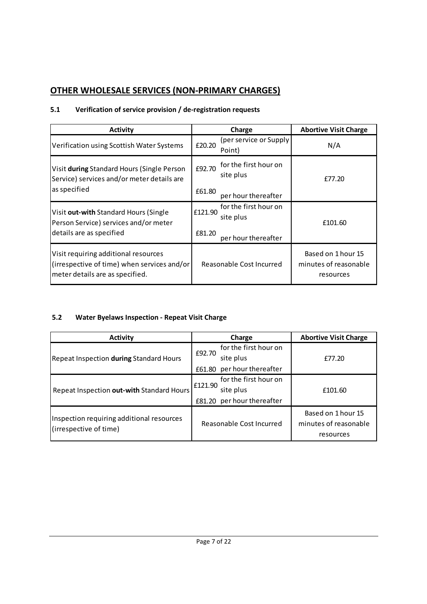# OTHER WHOLESALE SERVICES (NON-PRIMARY CHARGES)

# 5.1 Verification of service provision / de-registration requests

| <b>Activity</b>                                                                                                        |         | Charge                             | <b>Abortive Visit Charge</b>                             |
|------------------------------------------------------------------------------------------------------------------------|---------|------------------------------------|----------------------------------------------------------|
| Verification using Scottish Water Systems                                                                              | £20.20  | (per service or Supply<br>Point)   | N/A                                                      |
| Visit during Standard Hours (Single Person<br>Service) services and/or meter details are                               | £92.70  | for the first hour on<br>site plus | £77.20                                                   |
| as specified                                                                                                           | £61.80  | per hour thereafter                |                                                          |
| Visit out-with Standard Hours (Single<br>Person Service) services and/or meter                                         | £121.90 | for the first hour on<br>site plus | £101.60                                                  |
| details are as specified                                                                                               | £81.20  | per hour thereafter                |                                                          |
| Visit requiring additional resources<br>(irrespective of time) when services and/or<br>meter details are as specified. |         | Reasonable Cost Incurred           | Based on 1 hour 15<br>minutes of reasonable<br>resources |

# 5.2 Water Byelaws Inspection - Repeat Visit Charge

| <b>Activity</b>                                                     | Charge                           | <b>Abortive Visit Charge</b> |
|---------------------------------------------------------------------|----------------------------------|------------------------------|
|                                                                     | for the first hour on            |                              |
| Repeat Inspection during Standard Hours                             | £92.70<br>site plus              | £77.20                       |
|                                                                     | per hour thereafter<br>£61.80    |                              |
| Repeat Inspection out-with Standard Hours                           | for the first hour on<br>£121.90 |                              |
|                                                                     | site plus                        | £101.60                      |
|                                                                     | £81.20 per hour thereafter       |                              |
| Inspection requiring additional resources<br>(irrespective of time) |                                  | Based on 1 hour 15           |
|                                                                     | Reasonable Cost Incurred         | minutes of reasonable        |
|                                                                     |                                  | resources                    |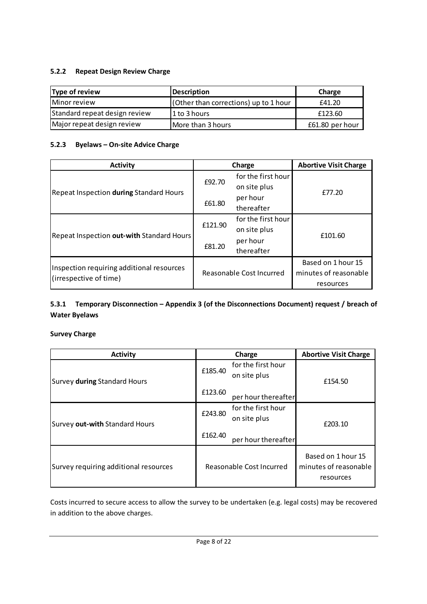# 5.2.2 Repeat Design Review Charge

| Type of review                | Description                           | Charge          |
|-------------------------------|---------------------------------------|-----------------|
| Minor review                  | (Other than corrections) up to 1 hour | £41.20          |
| Standard repeat design review | 11 to 3 hours                         | £123.60         |
| Major repeat design review    | More than 3 hours                     | £61.80 per hour |

### 5.2.3 Byelaws – On-site Advice Charge

| <b>Activity</b>                                                     |         | Charge                   | <b>Abortive Visit Charge</b> |
|---------------------------------------------------------------------|---------|--------------------------|------------------------------|
|                                                                     |         | for the first hour       | £77.20                       |
|                                                                     | £92.70  | on site plus             |                              |
| Repeat Inspection during Standard Hours                             |         | per hour                 |                              |
|                                                                     | £61.80  | thereafter               |                              |
| Repeat Inspection out-with Standard Hours                           | £121.90 | for the first hour       | £101.60                      |
|                                                                     |         | on site plus             |                              |
|                                                                     |         | per hour                 |                              |
|                                                                     | £81.20  | thereafter               |                              |
|                                                                     |         |                          | Based on 1 hour 15           |
| Inspection requiring additional resources<br>(irrespective of time) |         | Reasonable Cost Incurred | minutes of reasonable        |
|                                                                     |         |                          | resources                    |

### 5.3.1 Temporary Disconnection – Appendix 3 (of the Disconnections Document) request / breach of Water Byelaws

#### Survey Charge

| <b>Activity</b>                       | Charge                                        | <b>Abortive Visit Charge</b>                             |
|---------------------------------------|-----------------------------------------------|----------------------------------------------------------|
| Survey during Standard Hours          | for the first hour<br>£185.40<br>on site plus | £154.50                                                  |
|                                       | £123.60<br>per hour thereafter                |                                                          |
| Survey out-with Standard Hours        | for the first hour<br>£243.80<br>on site plus | £203.10                                                  |
|                                       | £162.40<br>per hour thereafter                |                                                          |
| Survey requiring additional resources | Reasonable Cost Incurred                      | Based on 1 hour 15<br>minutes of reasonable<br>resources |

Costs incurred to secure access to allow the survey to be undertaken (e.g. legal costs) may be recovered in addition to the above charges.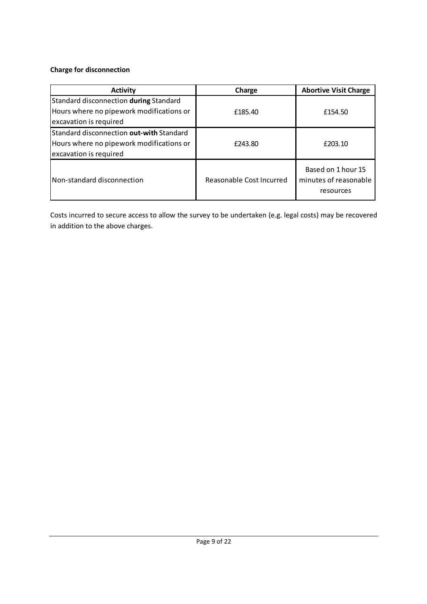# Charge for disconnection

| <b>Activity</b>                                                                                                       | Charge                   | <b>Abortive Visit Charge</b>                             |
|-----------------------------------------------------------------------------------------------------------------------|--------------------------|----------------------------------------------------------|
| Standard disconnection during Standard<br>Hours where no pipework modifications or<br>excavation is required          | £185.40                  | £154.50                                                  |
| <b>Standard disconnection out-with Standard</b><br>Hours where no pipework modifications or<br>excavation is required | £243.80                  | £203.10                                                  |
| Non-standard disconnection                                                                                            | Reasonable Cost Incurred | Based on 1 hour 15<br>minutes of reasonable<br>resources |

Costs incurred to secure access to allow the survey to be undertaken (e.g. legal costs) may be recovered in addition to the above charges.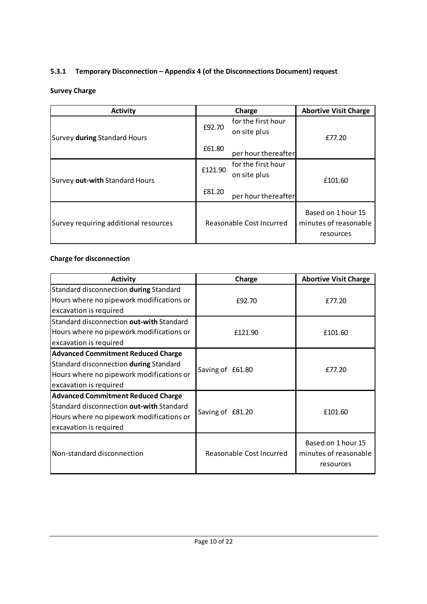# 5.3.1 Temporary Disconnection – Appendix 4 (of the Disconnections Document) request

# Survey Charge

| <b>Activity</b>                       |         | Charge                             | <b>Abortive Visit Charge</b>                             |
|---------------------------------------|---------|------------------------------------|----------------------------------------------------------|
| Survey during Standard Hours          | £92.70  | for the first hour<br>on site plus | £77.20                                                   |
|                                       | £61.80  | per hour thereafter                |                                                          |
| Survey out-with Standard Hours        | £121.90 | for the first hour<br>on site plus | £101.60                                                  |
|                                       | £81.20  | per hour thereafter                |                                                          |
| Survey requiring additional resources |         | Reasonable Cost Incurred           | Based on 1 hour 15<br>minutes of reasonable<br>resources |

# Charge for disconnection

| <b>Activity</b>                           | Charge                   | <b>Abortive Visit Charge</b>                             |
|-------------------------------------------|--------------------------|----------------------------------------------------------|
| Standard disconnection during Standard    |                          |                                                          |
| Hours where no pipework modifications or  | £92.70                   | £77.20                                                   |
| excavation is required                    |                          |                                                          |
| Standard disconnection out-with Standard  |                          |                                                          |
| Hours where no pipework modifications or  | £121.90                  | £101.60                                                  |
| excavation is required                    |                          |                                                          |
| <b>Advanced Commitment Reduced Charge</b> |                          |                                                          |
| Standard disconnection during Standard    |                          | £77.20                                                   |
| Hours where no pipework modifications or  | Saving of £61.80         |                                                          |
| excavation is required                    |                          |                                                          |
| <b>Advanced Commitment Reduced Charge</b> |                          |                                                          |
| Standard disconnection out-with Standard  | Saving of £81.20         | £101.60                                                  |
| Hours where no pipework modifications or  |                          |                                                          |
| excavation is required                    |                          |                                                          |
| Non-standard disconnection                | Reasonable Cost Incurred | Based on 1 hour 15<br>minutes of reasonable<br>resources |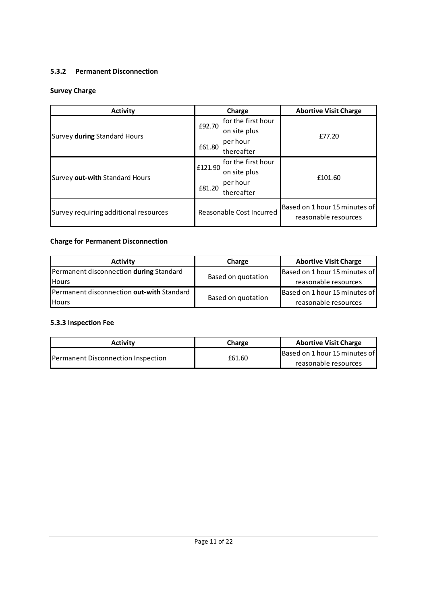### 5.3.2 Permanent Disconnection

# Survey Charge

| <b>Activity</b>                       | Charge                        | <b>Abortive Visit Charge</b>                          |
|---------------------------------------|-------------------------------|-------------------------------------------------------|
|                                       | for the first hour<br>£92.70  | £77.20                                                |
| Survey during Standard Hours          | on site plus                  |                                                       |
|                                       | per hour<br>£61.80            |                                                       |
|                                       | thereafter                    |                                                       |
| Survey out-with Standard Hours        | for the first hour<br>£121.90 | £101.60                                               |
|                                       | on site plus                  |                                                       |
|                                       | per hour<br>£81.20            |                                                       |
|                                       | thereafter                    |                                                       |
| Survey requiring additional resources | Reasonable Cost Incurred      | Based on 1 hour 15 minutes of<br>reasonable resources |

# Charge for Permanent Disconnection

| <b>Activity</b>                                | Charge             | <b>Abortive Visit Charge</b>  |
|------------------------------------------------|--------------------|-------------------------------|
| Permanent disconnection <b>during</b> Standard |                    | Based on 1 hour 15 minutes of |
| <b>Hours</b>                                   | Based on quotation | reasonable resources          |
| Permanent disconnection out-with Standard      |                    | Based on 1 hour 15 minutes of |
| <b>Hours</b>                                   | Based on quotation | reasonable resources          |

# 5.3.3 Inspection Fee

| Activity                           | <b>Charge</b> | <b>Abortive Visit Charge</b>  |
|------------------------------------|---------------|-------------------------------|
| Permanent Disconnection Inspection |               | Based on 1 hour 15 minutes of |
|                                    | £61.60        | reasonable resources          |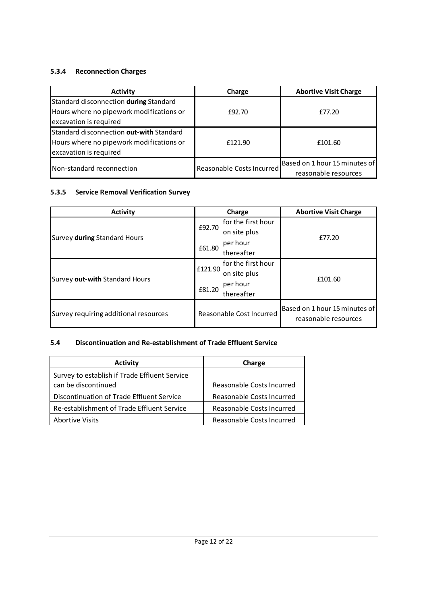# 5.3.4 Reconnection Charges

| <b>Activity</b>                                                                                                | Charge                    | <b>Abortive Visit Charge</b>                          |
|----------------------------------------------------------------------------------------------------------------|---------------------------|-------------------------------------------------------|
| Standard disconnection during Standard<br>Hours where no pipework modifications or<br>excavation is required   | £92.70                    | £77.20                                                |
| Standard disconnection out-with Standard<br>Hours where no pipework modifications or<br>excavation is required | £121.90                   | £101.60                                               |
| Non-standard reconnection                                                                                      | Reasonable Costs Incurred | Based on 1 hour 15 minutes of<br>reasonable resources |

#### 5.3.5 Service Removal Verification Survey

| <b>Activity</b>                       | Charge                           | <b>Abortive Visit Charge</b>                          |
|---------------------------------------|----------------------------------|-------------------------------------------------------|
|                                       | for the first hour<br>£92.70     | £77.20                                                |
| Survey during Standard Hours          | on site plus                     |                                                       |
|                                       | per hour<br>£61.80<br>thereafter |                                                       |
|                                       |                                  |                                                       |
| Survey out-with Standard Hours        | for the first hour<br>£121.90    |                                                       |
|                                       | on site plus                     | £101.60                                               |
|                                       | per hour<br>£81.20               |                                                       |
|                                       | thereafter                       |                                                       |
| Survey requiring additional resources | Reasonable Cost Incurred         | Based on 1 hour 15 minutes of<br>reasonable resources |

# 5.4 Discontinuation and Re-establishment of Trade Effluent Service

| <b>Activity</b>                               | Charge                    |
|-----------------------------------------------|---------------------------|
| Survey to establish if Trade Effluent Service |                           |
| can be discontinued                           | Reasonable Costs Incurred |
| Discontinuation of Trade Effluent Service     | Reasonable Costs Incurred |
| Re-establishment of Trade Effluent Service    | Reasonable Costs Incurred |
| Abortive Visits                               | Reasonable Costs Incurred |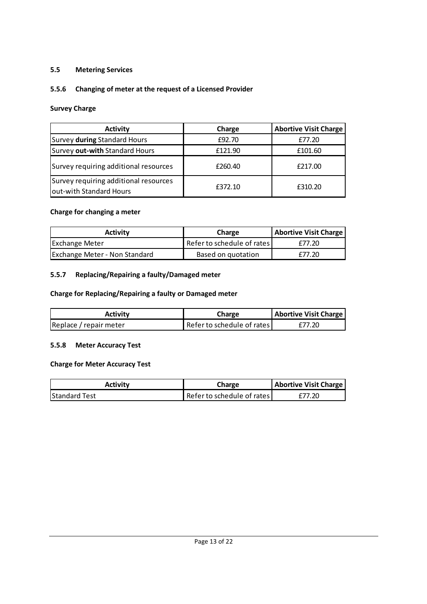#### 5.5 Metering Services

#### 5.5.6 Changing of meter at the request of a Licensed Provider

#### Survey Charge

| <b>Activity</b>                                                  | Charge  | <b>Abortive Visit Charge</b> |
|------------------------------------------------------------------|---------|------------------------------|
| Survey during Standard Hours                                     | £92.70  | £77.20                       |
| Survey out-with Standard Hours                                   | £121.90 | £101.60                      |
| Survey requiring additional resources                            | £260.40 | £217.00                      |
| Survey requiring additional resources<br>out-with Standard Hours | £372.10 | £310.20                      |

#### Charge for changing a meter

| Activity                             | Charge                     | <b>Abortive Visit Charge</b> |
|--------------------------------------|----------------------------|------------------------------|
| <b>Exchange Meter</b>                | Refer to schedule of rates | £77.20                       |
| <b>Exchange Meter - Non Standard</b> | Based on quotation         | £77.20                       |

# 5.5.7 Replacing/Repairing a faulty/Damaged meter

#### Charge for Replacing/Repairing a faulty or Damaged meter

| Activity               | Charge                     | <b>Abortive Visit Charge</b> |
|------------------------|----------------------------|------------------------------|
| Replace / repair meter | Refer to schedule of rates | £77.20                       |

#### 5.5.8 Meter Accuracy Test

#### Charge for Meter Accuracy Test

| <b>Activity</b>      | Charge                     | Abortive Visit Charge |
|----------------------|----------------------------|-----------------------|
| <b>Standard Test</b> | Refer to schedule of rates | £77.20                |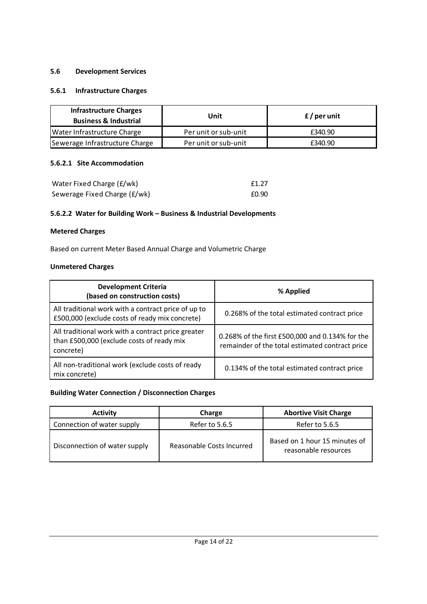#### 5.6 Development Services

#### 5.6.1 Infrastructure Charges

| <b>Infrastructure Charges</b><br><b>Business &amp; Industrial</b> | Unit                 | $f/$ per unit |
|-------------------------------------------------------------------|----------------------|---------------|
| Water Infrastructure Charge                                       | Per unit or sub-unit | £340.90       |
| Sewerage Infrastructure Charge                                    | Per unit or sub-unit | £340.90       |

#### 5.6.2.1 Site Accommodation

| Water Fixed Charge (£/wk)    | f1.27 |
|------------------------------|-------|
| Sewerage Fixed Charge (£/wk) | £0.90 |

#### 5.6.2.2 Water for Building Work – Business & Industrial Developments

#### Metered Charges

Based on current Meter Based Annual Charge and Volumetric Charge

## Unmetered Charges

| <b>Development Criteria</b><br>(based on construction costs)                                                 | % Applied                                                                                          |
|--------------------------------------------------------------------------------------------------------------|----------------------------------------------------------------------------------------------------|
| All traditional work with a contract price of up to<br>£500,000 (exclude costs of ready mix concrete)        | 0.268% of the total estimated contract price                                                       |
| All traditional work with a contract price greater<br>than £500,000 (exclude costs of ready mix<br>concrete) | 0.268% of the first £500,000 and 0.134% for the<br>remainder of the total estimated contract price |
| All non-traditional work (exclude costs of ready<br>mix concrete)                                            | 0.134% of the total estimated contract price                                                       |

#### Building Water Connection / Disconnection Charges

| <b>Activity</b>               | Charge                    | <b>Abortive Visit Charge</b>                          |
|-------------------------------|---------------------------|-------------------------------------------------------|
| Connection of water supply    | Refer to 5.6.5            | Refer to 5.6.5                                        |
| Disconnection of water supply | Reasonable Costs Incurred | Based on 1 hour 15 minutes of<br>reasonable resources |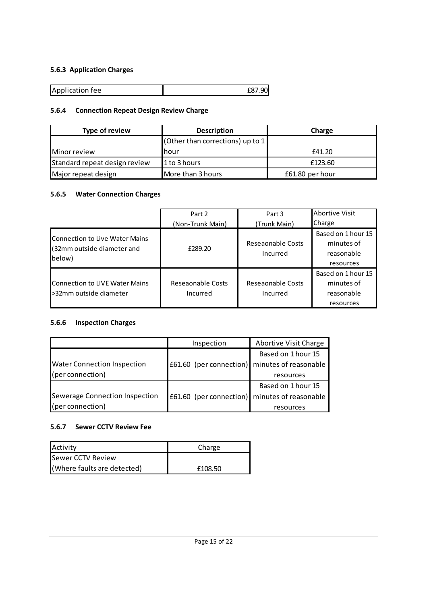# 5.6.3 Application Charges

| Application fee |  |
|-----------------|--|

# 5.6.4 Connection Repeat Design Review Charge

| Type of review                | <b>Description</b>                 | Charge          |
|-------------------------------|------------------------------------|-----------------|
|                               | (Other than corrections) up to $1$ |                 |
| Minor review                  | hour                               | £41.20          |
| Standard repeat design review | 1 to 3 hours                       | £123.60         |
| Major repeat design           | More than 3 hours                  | £61.80 per hour |

#### 5.6.5 Water Connection Charges

|                                                                         | Part 2                        | Part 3                        | <b>Abortive Visit</b>                                       |
|-------------------------------------------------------------------------|-------------------------------|-------------------------------|-------------------------------------------------------------|
|                                                                         | (Non-Trunk Main)              | (Trunk Main)                  | Charge                                                      |
| lConnection to Live Water Mains<br>(32mm outside diameter and<br>below) | £289.20                       | Reseaonable Costs<br>Incurred | Based on 1 hour 15<br>minutes of<br>reasonable<br>resources |
| Connection to LIVE Water Mains<br>l>32mm outside diameter               | Reseaonable Costs<br>Incurred | Reseaonable Costs<br>Incurred | Based on 1 hour 15<br>minutes of<br>reasonable<br>resources |

#### 5.6.6 Inspection Charges

|                                    | Inspection                                                | Abortive Visit Charge |
|------------------------------------|-----------------------------------------------------------|-----------------------|
|                                    |                                                           | Based on 1 hour 15    |
| <b>Water Connection Inspection</b> | £61.60 (per connection) minutes of reasonable             |                       |
| (per connection)                   |                                                           | resources             |
|                                    |                                                           | Based on 1 hour 15    |
| Sewerage Connection Inspection     | $\left  \right.60$ (per connection) minutes of reasonable |                       |
| (per connection)                   |                                                           | resources             |

#### 5.6.7 Sewer CCTV Review Fee

| <b>Activity</b>             | Charge  |
|-----------------------------|---------|
| <b>Sewer CCTV Review</b>    |         |
| (Where faults are detected) | £108.50 |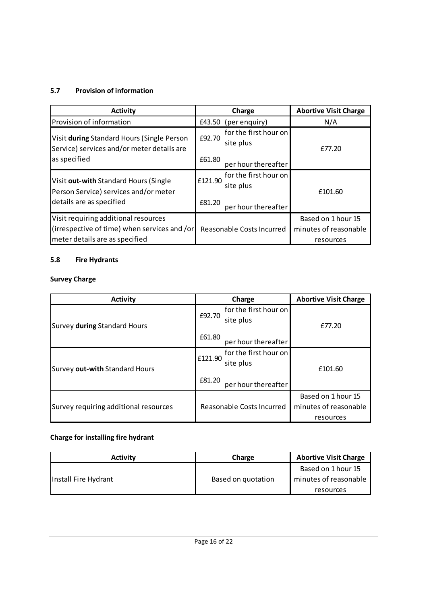# 5.7 Provision of information

| <b>Activity</b>                                                                                            | Charge                                                  | <b>Abortive Visit Charge</b> |
|------------------------------------------------------------------------------------------------------------|---------------------------------------------------------|------------------------------|
| Provision of information                                                                                   | £43.50<br>(per enquiry)                                 | N/A                          |
| Visit during Standard Hours (Single Person<br>Service) services and/or meter details are                   | for the first hour on<br>£92.70<br>site plus            | £77.20                       |
| as specified                                                                                               | £61.80<br>per hour thereafter                           |                              |
| Visit out-with Standard Hours (Single<br>Person Service) services and/or meter<br>details are as specified | for the first hour on<br>£121.90<br>site plus<br>£81.20 | £101.60                      |
|                                                                                                            | per hour thereafter                                     |                              |
| Visit requiring additional resources                                                                       |                                                         | Based on 1 hour 15           |
| (irrespective of time) when services and /or                                                               | Reasonable Costs Incurred                               | minutes of reasonable        |
| meter details are as specified                                                                             |                                                         | resources                    |

# 5.8 Fire Hydrants

# Survey Charge

| <b>Activity</b>                       | Charge                                                                         | <b>Abortive Visit Charge</b>                             |
|---------------------------------------|--------------------------------------------------------------------------------|----------------------------------------------------------|
| Survey during Standard Hours          | for the first hour on<br>£92.70<br>site plus                                   | £77.20                                                   |
|                                       | £61.80<br>per hour thereafter                                                  |                                                          |
| Survey out-with Standard Hours        | for the first hour on<br>£121.90<br>site plus<br>£81.20<br>per hour thereafter | £101.60                                                  |
| Survey requiring additional resources | Reasonable Costs Incurred                                                      | Based on 1 hour 15<br>minutes of reasonable<br>resources |

# Charge for installing fire hydrant

| <b>Activity</b>      | Charge             | <b>Abortive Visit Charge</b> |
|----------------------|--------------------|------------------------------|
| Install Fire Hydrant |                    | Based on 1 hour 15           |
|                      | Based on quotation | minutes of reasonable        |
|                      |                    | resources                    |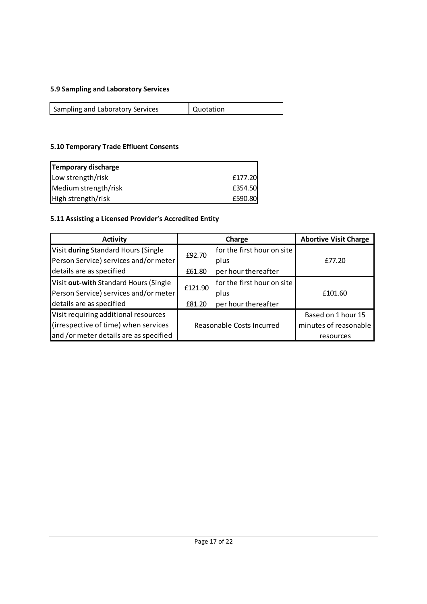# 5.9 Sampling and Laboratory Services

| Sampling and Laboratory Services | Quotation |
|----------------------------------|-----------|
|                                  |           |

# 5.10 Temporary Trade Effluent Consents

| Temporary discharge  |         |
|----------------------|---------|
| Low strength/risk    | £177.20 |
| Medium strength/risk | £354.50 |
| High strength/risk   | £590.80 |

# 5.11 Assisting a Licensed Provider's Accredited Entity

| <b>Activity</b>                        |         | Charge                     | <b>Abortive Visit Charge</b> |
|----------------------------------------|---------|----------------------------|------------------------------|
| Visit during Standard Hours (Single    | £92.70  | for the first hour on site |                              |
| Person Service) services and/or meter  |         | plus                       | £77.20                       |
| details are as specified               | £61.80  | per hour thereafter        |                              |
| Visit out-with Standard Hours (Single  | £121.90 | for the first hour on site |                              |
| Person Service) services and/or meter  |         | plus                       | £101.60                      |
| details are as specified               | £81.20  | per hour thereafter        |                              |
| Visit requiring additional resources   |         |                            | Based on 1 hour 15           |
| (irrespective of time) when services   |         | Reasonable Costs Incurred  | minutes of reasonable        |
| and /or meter details are as specified |         |                            | resources                    |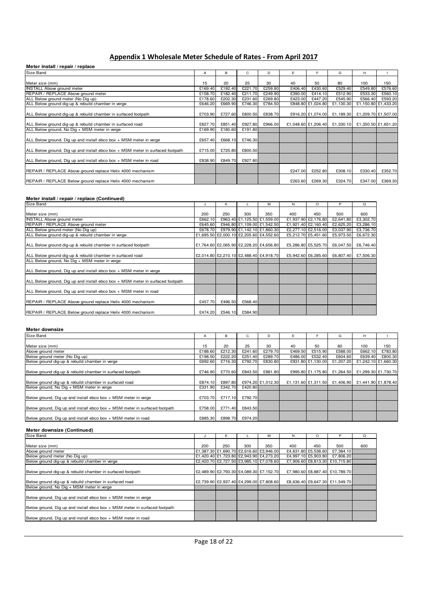# Appendix 1 Wholesale Meter Schedule of Rates - From April 2017

#### **Meter install / repair / replace**

| Size Band                                                                      | A       | в       | C       | D       | E       | F                 | G                             | н                   |         |
|--------------------------------------------------------------------------------|---------|---------|---------|---------|---------|-------------------|-------------------------------|---------------------|---------|
|                                                                                |         |         |         |         |         |                   |                               |                     |         |
| Meter size (mm)                                                                | 15      | 20      | 25      | 30      | 40      | 50                | 80                            | 100                 | 150     |
| <b>INSTALL Above ground meter</b>                                              | £169.40 | £192.40 | £221.70 | £259.80 | £406.40 | £430.60           | £529.40                       | £549.80             | £576.60 |
| REPAIR / REPLACE Above ground meter                                            | £158.70 | £182.40 | £211.70 | £249.90 | £390.00 | £414.10           | £512.90                       | £533.30             | £560.10 |
| ALL Below ground meter (No Dig up)                                             | £178.60 | £202.30 | £231.60 | £269.80 | £423.00 | £447.20           | £545.90                       | £566.40             | £593.20 |
| ALL Below ground dig-up & rebuild chamber in verge                             | £646.20 | £669.90 | £746.30 | £784.50 |         | £848.80 £1,024.80 | £1,130.30                     | £1,150.80 £1,433.20 |         |
| ALL Below ground dig-up & rebuild chamber in surfaced footpath                 | £703.90 | £727.60 | £800.50 | £838.70 |         | £916.20 £1,074.00 | £1,189.30                     | £1,209.70 £1,507.00 |         |
| ALL Below ground dig-up & rebuild chamber in surfaced road                     | £827.70 | £851.40 | £927.80 | £966.00 |         |                   | £1,048.60 £1,206.40 £1,330.10 | £1,350.50 £1,651.20 |         |
| ALL Below ground, No Dig + MSM meter in verge                                  | £169.90 | £180.60 | £191.80 |         |         |                   |                               |                     |         |
| ALL Below ground, Dig up and install ebco box + MSM meter in verge             | £657.40 | £668.10 | £746.30 |         |         |                   |                               |                     |         |
| ALL Below ground, Dig up and install ebco box + MSM meter in surfaced footpath | £715.00 | £725.80 | £800.50 |         |         |                   |                               |                     |         |
| ALL Below ground, Dig up and install ebco box + MSM meter in road              | £838.90 | £849.70 | £927.80 |         |         |                   |                               |                     |         |
| REPAIR / REPLACE Above ground replace Helix 4000 mechanism                     |         |         |         |         | £247.00 | £252.80           | £308.10                       | £330.40             | £352.70 |
| REPAIR / REPLACE Below ground replace Helix 4000 mechanism                     |         |         |         |         | £263.60 | £269.30           | £324.70                       | £347.00             | £369.30 |

#### Meter install / repair / replace (Continued)

| Size Band                                                                      | J       | к       |         | м                                       | N   | $\circ$             | P         | $\Omega$  |
|--------------------------------------------------------------------------------|---------|---------|---------|-----------------------------------------|-----|---------------------|-----------|-----------|
| Meter size (mm)                                                                | 200     | 250     | 300     | 350                                     | 400 | 450                 | 500       | 600       |
| <b>INSTALL Above ground meter</b>                                              | £662.10 |         |         | £963.40 £1,125.50 £1,559.00             |     | £1,937.90 £2,176.80 | £2,641.80 | £3,302.70 |
| REPAIR / REPLACE Above ground meter                                            | £645.60 |         |         | £946.80 £1,109.00 £1,542.50             |     | £1,921.40 £2,160.40 | £2,625.20 | £3,286.10 |
| ALL Below ground meter (No Dig up)                                             | £678.70 |         |         | £979.90 £1,142.10 £1,860.30             |     | £2,277.10 £2,516.00 | £3,037.90 | £3,736.70 |
| ALL Below ground dig-up & rebuild chamber in verge                             |         |         |         | £1,695.50 £2,000.10 £2,205.60 £4,552.60 |     | £5,212.70 £5,451.60 | £5,973.50 | £6,672.30 |
| ALL Below ground dig-up & rebuild chamber in surfaced footpath                 |         |         |         | £1,764.60 £2,065.90 £2,228.20 £4,656.80 |     | £5,286.80 £5,525.70 | £6,047.50 | £6,746.40 |
| ALL Below ground dig-up & rebuild chamber in surfaced road                     |         |         |         | £2,014.80 £2,210.10 £2,488.40 £4,918.70 |     | £5,942.60 £6,285.60 | £6,807.40 | £7,506.30 |
| ALL Below ground, No Dig + MSM meter in verge                                  |         |         |         |                                         |     |                     |           |           |
| ALL Below ground, Dig up and install ebco box + MSM meter in verge             |         |         |         |                                         |     |                     |           |           |
| ALL Below ground, Dig up and install ebco box + MSM meter in surfaced footpath |         |         |         |                                         |     |                     |           |           |
| ALL Below ground, Dig up and install ebco box + MSM meter in road              |         |         |         |                                         |     |                     |           |           |
| REPAIR / REPLACE Above ground replace Helix 4000 mechanism                     | £457.70 | £496.50 | £568.40 |                                         |     |                     |           |           |
| REPAIR / REPLACE Below ground replace Helix 4000 mechanism                     | £474.20 | £546.10 | £584.90 |                                         |     |                     |           |           |

#### **Meter downsize**

| Size Band                                                                  | A       | B       | C       | D                 | F       |                     | G         | H                   |         |
|----------------------------------------------------------------------------|---------|---------|---------|-------------------|---------|---------------------|-----------|---------------------|---------|
|                                                                            |         |         |         |                   |         |                     |           |                     |         |
| Meter size (mm)                                                            | 15      | 20      | 25      | 30                | 40      | 50                  | 80        | 100                 | 150     |
| Above ground meter                                                         | £188.60 | £212.30 | £241.60 | £279.70           | £469.50 | £515.90             | £588.00   | £662.10             | £783.80 |
| Below ground meter (No Dig up)                                             | £198.50 | £222.20 | £251.40 | £289.70           | £486.00 | £532.40             | £604.60   | £639.40             | £800.30 |
| Below ground dig-up & rebuild chamber in verge                             | £692.60 | £716.30 | £792.70 | £830.80           |         | £931.80 £1,130.00   | £1.207.20 | £1,242.10 £1,660.30 |         |
| Below ground dig-up & rebuild chamber in surfaced footpath                 | £746.90 | £770.60 | £843.50 | £881.80           |         | £995.80 £1.175.80   | £1.264.50 | £1.299.30 £1.730.70 |         |
| Below ground dig-up & rebuild chamber in surfaced road                     | £874.10 | £897.80 |         | £974.20 £1.012.30 |         | £1,131.60 £1,311.50 | £1.406.90 | £1.441.90 £1.878.40 |         |
| Below ground, No Dig + MSM meter in verge                                  | £331.90 | £342.70 | £420.80 |                   |         |                     |           |                     |         |
| Below ground, Dig up and install ebco box $+$ MSM meter in verge           | £703.70 | £717.10 | £792.70 |                   |         |                     |           |                     |         |
| Below ground, Dig up and install ebco box + MSM meter in surfaced footpath | £758.00 | £771.40 | £843.50 |                   |         |                     |           |                     |         |
| Below ground, Dig up and install ebco box + MSM meter in road              | £885.30 | £898.70 | £974.20 |                   |         |                     |           |                     |         |

#### **Meter downsize (Continued)**

| Size Band                                                                  | ٠.  | Κ   |     | M                                       | N   | $\circ$             | P                              | $\circ$ |
|----------------------------------------------------------------------------|-----|-----|-----|-----------------------------------------|-----|---------------------|--------------------------------|---------|
|                                                                            |     |     |     |                                         |     |                     |                                |         |
| Meter size (mm)                                                            | 200 | 250 | 300 | 350                                     | 400 | 450                 | 500                            | 600     |
| Above ground meter                                                         |     |     |     | £1,387.30 £1,690.70 £2,616.60 £3,946.00 |     | £4,631.80 £5,538.60 | £7,384.10                      |         |
| Below ground meter (No Dig up)                                             |     |     |     | £1,420.40 £1,723.80 £2,943.90 £4,273.20 |     | £4,997.10 £5,903.80 | £7,806.20                      |         |
| Below ground dig-up & rebuild chamber in verge                             |     |     |     | £2,420.70 £2,727.50 £3,985.10 £7,078.60 |     |                     | £7,906.60 £8,813.30 £10,715.80 |         |
|                                                                            |     |     |     |                                         |     |                     |                                |         |
| Below ground dig-up & rebuild chamber in surfaced footpath                 |     |     |     | £2,489.90 £2,793.30 £4,089.30 £7,152.70 |     |                     | £7,980.60 £8,887.40 £10,789.70 |         |
|                                                                            |     |     |     |                                         |     |                     |                                |         |
| Below ground dig-up & rebuild chamber in surfaced road                     |     |     |     | £2,739.90 £2,937.40 £4,299.00 £7,808.60 |     |                     | £8,636.40 £9,647.30 £11,549.70 |         |
| Below ground, No Dig + MSM meter in verge                                  |     |     |     |                                         |     |                     |                                |         |
|                                                                            |     |     |     |                                         |     |                     |                                |         |
| Below ground, Dig up and install ebco box $+$ MSM meter in verge           |     |     |     |                                         |     |                     |                                |         |
|                                                                            |     |     |     |                                         |     |                     |                                |         |
| Below ground, Dig up and install ebco box + MSM meter in surfaced footpath |     |     |     |                                         |     |                     |                                |         |
|                                                                            |     |     |     |                                         |     |                     |                                |         |
| Below ground, Dig up and install ebco box + MSM meter in road              |     |     |     |                                         |     |                     |                                |         |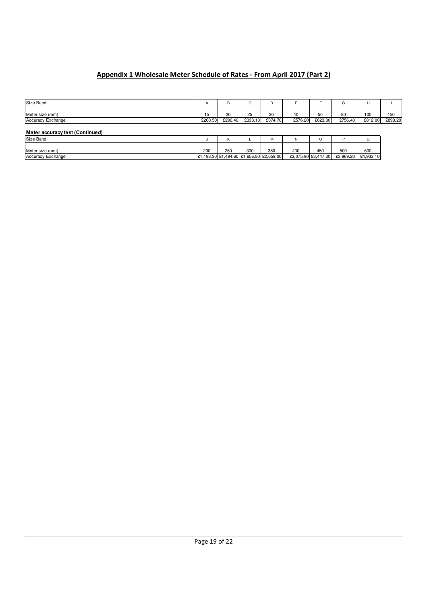# Appendix 1 Wholesale Meter Schedule of Rates - From April 2017 (Part 2)

| Size Band                       | $\mathbf{r}$ | В       | $\sim$<br>U | D                                       |         |                     |           | н         |         |
|---------------------------------|--------------|---------|-------------|-----------------------------------------|---------|---------------------|-----------|-----------|---------|
|                                 |              |         |             |                                         |         |                     |           |           |         |
| Meter size (mm)                 | 15           | 20      | 25          | 30                                      | 40      | 50                  | 80        | 100       | 150     |
| <b>Accuracy Exchange</b>        | £260.50      | £290.40 | £333.10     | £374.70                                 | £576.20 | £623.30             | £756.40   | £812.00   | £893.20 |
|                                 |              |         |             |                                         |         |                     |           |           |         |
| Meter accuracy test (Continued) |              |         |             |                                         |         |                     |           |           |         |
| Size Band                       |              | Κ       |             | M                                       | N       | U                   |           | Q         |         |
|                                 |              |         |             |                                         |         |                     |           |           |         |
| Meter size (mm)                 | 200          | 250     | 300         | 350                                     | 400     | 450                 | 500       | 600       |         |
| <b>Accuracy Exchange</b>        |              |         |             | £1,193.30 £1,494.60 £1,656.80 £2,659.00 |         | £3,075.90 £3,447.30 | £3,969.20 | £4,933.10 |         |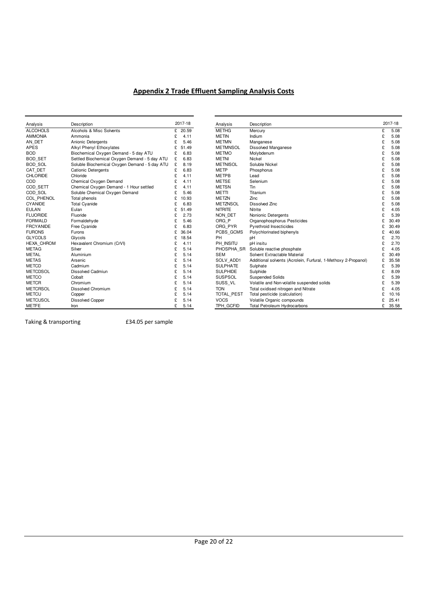### Appendix 2 Trade Effluent Sampling Analysis Costs

| Analysis          | Description                                   |   | 2017-18 |
|-------------------|-----------------------------------------------|---|---------|
| <b>ALCOHOLS</b>   | Alcohols & Misc Solvents                      | £ | 20.59   |
| <b>AMMONIA</b>    | Ammonia                                       | £ | 4.11    |
| AN DET            | Anionic Detergents                            | £ | 5.46    |
| <b>APES</b>       | Alkyl Phenyl Ethoxylates                      | £ | 51.49   |
| <b>BOD</b>        | Biochemical Oxygen Demand - 5 day ATU         | £ | 6.83    |
| <b>BOD SET</b>    | Settled Biochemical Oxygen Demand - 5 day ATU | £ | 6.83    |
| <b>BOD SOL</b>    | Soluble Biochemical Oxygen Demand - 5 day ATU | £ | 8.19    |
| CAT DET           | Cationic Detergents                           | £ | 6.83    |
| <b>CHLORIDE</b>   | Chloride                                      | £ | 4.11    |
| COD               | Chemical Oxygen Demand                        | £ | 4 1 1   |
| COD SETT          | Chemical Oxygen Demand - 1 Hour settled       | £ | 4.11    |
| COD SOL           | Soluble Chemical Oxygen Demand                | £ | 5.46    |
| <b>COL PHENOL</b> | Total phenols                                 | £ | 10.93   |
| <b>CYANIDE</b>    | <b>Total Cyanide</b>                          | £ | 6.83    |
| <b>EULAN</b>      | Fulan                                         | £ | 51.49   |
| <b>FLUORIDE</b>   | Fluoride                                      | £ | 2.73    |
| <b>FORMALD</b>    | Formaldehyde                                  | £ | 5.46    |
| <b>FRCYANIDE</b>  | Free Cyanide                                  | £ | 6.83    |
| <b>FURONS</b>     | Furons                                        | £ | 36.04   |
| <b>GLYCOLS</b>    | Glycols                                       | £ | 18.54   |
| <b>HEXA CHROM</b> | Hexavalent Chromium (CrVI)                    | £ | 4.11    |
| <b>METAG</b>      | Silver                                        | £ | 5.14    |
| METAL             | Aluminium                                     | £ | 5.14    |
| <b>METAS</b>      | Arsenic                                       | £ | 5.14    |
| <b>METCD</b>      | Cadmium                                       | £ | 5.14    |
| <b>METCDSOL</b>   | Dissolved Cadmiun                             | £ | 5.14    |
| <b>METCO</b>      | Cobalt                                        | £ | 5.14    |
| <b>METCR</b>      | Chromium                                      | £ | 5.14    |
| <b>METCRSOL</b>   | <b>Dissolved Chromium</b>                     | £ | 5.14    |
| <b>METCU</b>      | Copper                                        | £ | 5.14    |
| <b>METCUSOL</b>   | <b>Dissolved Copper</b>                       | £ | 5.14    |
| <b>METFE</b>      | Iron                                          | ¢ | 5.14    |

| Analysis          | Description                                   |   | 2017-18   | Analysis          | Description                                                    |   | 2017-18 |
|-------------------|-----------------------------------------------|---|-----------|-------------------|----------------------------------------------------------------|---|---------|
| <b>ALCOHOLS</b>   | Alcohols & Misc Solvents                      |   | $£$ 20.59 | <b>METHG</b>      | Mercury                                                        | £ | 5.08    |
| <b>AMMONIA</b>    | Ammonia                                       | £ | 4.11      | <b>METIN</b>      | Indium                                                         |   | 5.08    |
| AN DET            | Anionic Detergents                            |   | 5.46      | <b>METMN</b>      | Manganese                                                      | £ | 5.08    |
| <b>APES</b>       | Alkyl Phenyl Ethoxylates                      | £ | 51.49     | <b>METMNSOL</b>   | <b>Dissolved Manganese</b>                                     |   | 5.08    |
| BOD               | Biochemical Oxygen Demand - 5 day ATU         | £ | 6.83      | <b>METMO</b>      | Molybdenum                                                     |   | 5.08    |
| <b>BOD SET</b>    | Settled Biochemical Oxygen Demand - 5 day ATU | £ | 6.83      | <b>METNI</b>      | Nickel                                                         |   | 5.08    |
| <b>BOD SOL</b>    | Soluble Biochemical Oxygen Demand - 5 day ATU | £ | 8.19      | <b>METNISOL</b>   | Soluble Nickel                                                 |   | 5.08    |
| CAT DET           | <b>Cationic Detergents</b>                    | £ | 6.83      | <b>METP</b>       | Phosphorus                                                     |   | 5.08    |
| <b>CHLORIDE</b>   | Chloride                                      | £ | 4.11      | <b>METPB</b>      | Lead                                                           | £ | 5.08    |
| COD               | Chemical Oxygen Demand                        |   | 4.11      | <b>METSE</b>      | Selenium                                                       |   | 5.08    |
| COD SETT          | Chemical Oxygen Demand - 1 Hour settled       | £ | 4.11      | <b>METSN</b>      | Tin                                                            | £ | 5.08    |
| COD SOL           | Soluble Chemical Oxygen Demand                | £ | 5.46      | <b>METTI</b>      | Titanium                                                       |   | 5.08    |
| COL PHENOL        | Total phenols                                 | £ | 10.93     | <b>METZN</b>      | Zinc                                                           |   | 5.08    |
| <b>CYANIDE</b>    | <b>Total Cyanide</b>                          | £ | 6.83      | <b>METZNSOL</b>   | Dissolved Zinc                                                 |   | 5.08    |
| <b>EULAN</b>      | Eulan                                         |   | 51.49     | <b>NITRITE</b>    | Nitrite                                                        |   | 4.05    |
| <b>FLUORIDE</b>   | Fluoride                                      | £ | 2.73      | NON DET           | Nonionic Detergents                                            |   | 5.39    |
| <b>FORMALD</b>    | Formaldehyde                                  | £ | 5.46      | ORG P             | Organophosphorus Pesticides                                    |   | 30.49   |
| <b>FRCYANIDE</b>  | Free Cyanide                                  | £ | 6.83      | ORG PYR           | Pyrethroid Insecticides                                        |   | 30.49   |
| <b>FURONS</b>     | <b>Furons</b>                                 | £ | 36.04     | PCBS_GCMS         | Polychlorinated biphenyls                                      |   | 40.66   |
| <b>GLYCOLS</b>    | Glycols                                       | £ | 18.54     | <b>PH</b>         | pH                                                             |   | 2.70    |
| <b>HEXA CHROM</b> | Hexavalent Chromium (CrVI)                    | £ | 4.11      | PH INSITU         | pH insitu                                                      |   | 2.70    |
| METAG             | Silver                                        | £ | 5.14      | PHOSPHA SR        | Soluble reactive phosphate                                     |   | 4.05    |
| METAL             | Aluminium                                     | £ | 5.14      | <b>SEM</b>        | Solvent Extractable Material                                   |   | 30.49   |
| METAS             | Arsenic                                       | £ | 5.14      | SOLV ADD1         | Additional solvents (Acrolein, Furfural, 1-Methoxy 2-Propanol) | £ | 35.58   |
| METCD             | Cadmium                                       | £ | 5.14      | <b>SULPHATE</b>   | Sulphate                                                       |   | 5.39    |
| <b>METCDSOL</b>   | <b>Dissolved Cadmiun</b>                      | £ | 5.14      | <b>SULPHIDE</b>   | Sulphide                                                       |   | 8.09    |
| METCO             | Cobalt                                        |   | 5.14      | <b>SUSPSOL</b>    | <b>Suspended Solids</b>                                        |   | 5.39    |
| <b>METCR</b>      | Chromium                                      |   | 5.14      | SUSS VL           | Volatile and Non-volatile suspended solids                     |   | 5.39    |
| <b>METCRSOL</b>   | Dissolved Chromium                            |   | 5.14      | <b>TON</b>        | Total oxidised nitrogen and Nitrate                            |   | 4.05    |
| METCU             | Copper                                        | £ | 5.14      | <b>TOTAL PEST</b> | Total pesticide (calculation)                                  |   | 10.16   |
| <b>METCUSOL</b>   | <b>Dissolved Copper</b>                       | £ | 5.14      | <b>VOCS</b>       | Volatile Organic compounds                                     |   | 25.41   |
| METFE             | Iron                                          | £ | 5.14      | TPH GCFID         | <b>Total Petroleum Hydrocarbons</b>                            | £ | 35.58   |

Taking & transporting E34.05 per sample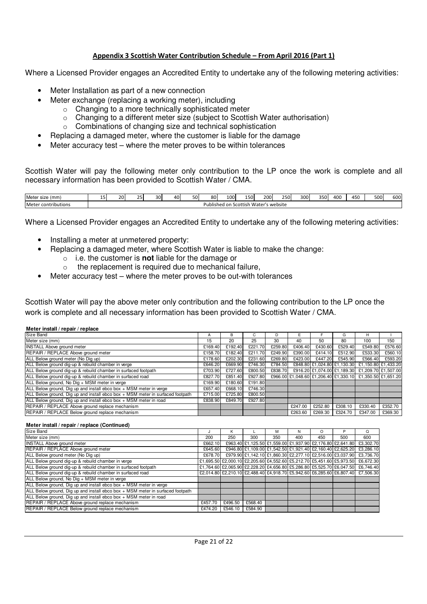#### Appendix 3 Scottish Water Contribution Schedule – From April 2016 (Part 1)

Where a Licensed Provider engages an Accredited Entity to undertake any of the following metering activities:

- Meter Installation as part of a new connection
- Meter exchange (replacing a working meter), including
	- o Changing to a more technically sophisticated meter
		- o Changing to a different meter size (subject to Scottish Water authorisation)
		- o Combinations of changing size and technical sophistication
- Replacing a damaged meter, where the customer is liable for the damage
- Meter accuracy test where the meter proves to be within tolerances

Scottish Water will pay the following meter only contribution to the LP once the work is complete and all necessary information has been provided to Scottish Water / CMA.

| Meter size (mm)                     | $\overline{\phantom{0}}$<br><b>. .</b> | ں _                                                | $\sim$ $\sim$<br><u>_ </u> | 30 <sup>l</sup> | 40 | 50 <sup>1</sup> | 801 | 100 | 150 <sup>1</sup> | 200 l | 250 | 300 | <b>2501</b><br>ouc | 400 | 450 | 500 | $\sim$<br>טטט |
|-------------------------------------|----------------------------------------|----------------------------------------------------|----------------------------|-----------------|----|-----------------|-----|-----|------------------|-------|-----|-----|--------------------|-----|-----|-----|---------------|
| Meter<br>contributions <sup>.</sup> |                                        | Water's<br>s website<br>Scottish<br>Published on . |                            |                 |    |                 |     |     |                  |       |     |     |                    |     |     |     |               |

Where a Licensed Provider engages an Accredited Entity to undertake any of the following metering activities:

- Installing a meter at unmetered property:
	- Replacing a damaged meter, where Scottish Water is liable to make the change:
		- o i.e. the customer is **not** liable for the damage or
		- o the replacement is required due to mechanical failure,
- Meter accuracy test where the meter proves to be out-with tolerances

Scottish Water will pay the above meter only contribution and the following contribution to the LP once the work is complete and all necessary information has been provided to Scottish Water / CMA.

|  | Meter install / repair / replace |
|--|----------------------------------|
|  |                                  |

| Meter install / repair / replace                                               |         |         |         |         |         |         |         |                                                           |         |
|--------------------------------------------------------------------------------|---------|---------|---------|---------|---------|---------|---------|-----------------------------------------------------------|---------|
| Size Band                                                                      | A       | в       |         |         | ь.      |         | G       | н                                                         |         |
| Meter size (mm)                                                                | 15      | 20      | 25      | 30      | 40      | 50      | 80      | 100                                                       | 150     |
| <b>INSTALL Above ground meter</b>                                              | £169.40 | £192.40 | £221.70 | £259.80 | £406.40 | £430.60 | £529.40 | £549.80                                                   | £576.60 |
| REPAIR / REPLACE Above ground meter                                            | £158.70 | £182.40 | £211.70 | £249.90 | £390.00 | £414.10 | £512.90 | £533.30                                                   | £560.10 |
| ALL Below ground meter (No Dig up)                                             | £178.60 | £202.30 | £231.60 | £269.80 | £423.00 | £447.20 | £545.90 | £566.40                                                   | £593.20 |
| ALL Below ground dig-up & rebuild chamber in verge                             | £646.20 | £669.90 | £746.30 | £784.50 |         |         |         | £848.80 £1,024.80 £1,130.30 £1,150.80 £1,433.20           |         |
| ALL Below ground dig-up & rebuild chamber in surfaced footpath                 | £703.90 | £727.60 | £800.50 | £838.70 |         |         |         | £916.20 £1,074.00 £1,189.30 £1,209.70 £1,507.00           |         |
| ALL Below ground dig-up & rebuild chamber in surfaced road                     | £827.70 | £851.40 | £927.80 |         |         |         |         | £966.00 £1,048.60 £1,206.40 £1,330.10 £1,350.50 £1,651.20 |         |
| ALL Below ground, No Dig + MSM meter in verge                                  | £169.90 | £180.60 | £191.80 |         |         |         |         |                                                           |         |
| ALL Below ground, Dig up and install ebco box + MSM meter in verge             | £657.40 | £668.10 | £746.30 |         |         |         |         |                                                           |         |
| ALL Below ground, Dig up and install ebco box + MSM meter in surfaced footpath | £715.00 | £725.80 | £800.50 |         |         |         |         |                                                           |         |
| ALL Below ground, Dig up and install ebco box + MSM meter in road              | £838.90 | £849.70 | £927.80 |         |         |         |         |                                                           |         |
| REPAIR / REPLACE Above ground replace mechanism                                |         |         |         |         | £247.00 | £252.80 | £308.10 | £330.40                                                   | £352.70 |
| <b>REPAIR / REPLACE Below ground replace mechanism</b>                         |         |         |         |         | £263.60 | £269.30 | £324.70 | £347.00                                                   | £369.30 |

#### **Meter install / repair / replace (Continued)**

| Size Band                                                                      |         | K       |         | м   | N   | O                                                                     |     | Q                                                                               |
|--------------------------------------------------------------------------------|---------|---------|---------|-----|-----|-----------------------------------------------------------------------|-----|---------------------------------------------------------------------------------|
| Meter size (mm)                                                                | 200     | 250     | 300     | 350 | 400 | 450                                                                   | 500 | 600                                                                             |
| <b>INSTALL Above ground meter</b>                                              | £662.10 |         |         |     |     | £963.40 £1,125.50 £1,559.00 £1,937.90 £2,176.80 £2,641.80             |     | £3,302.70                                                                       |
| REPAIR / REPLACE Above ground meter                                            | £645.60 |         |         |     |     | £946.80 £1,109.00 £1,542.50 £1,921.40 £2,160.40 £2,625.20             |     | £3,286.10                                                                       |
| ALL Below ground meter (No Dig up)                                             | £678.70 |         |         |     |     | £979.90 £1,142.10 £1,860.30 £2,277.10 £2,516.00 £3,037.90             |     | £3,736.70                                                                       |
| ALL Below ground dig-up & rebuild chamber in verge                             |         |         |         |     |     | £1,695.50 £2,000.10 £2,205.60 £4,552.60 £5,212.70 £5,451.60 £5,973.50 |     | £6,672.30                                                                       |
| ALL Below ground dig-up & rebuild chamber in surfaced footpath                 |         |         |         |     |     | £1,764.60 £2,065.90 £2,228.20 £4,656.80 £5,286.80 £5,525.70 £6,047.50 |     | £6,746.40                                                                       |
| ALL Below ground dig-up & rebuild chamber in surfaced road                     |         |         |         |     |     |                                                                       |     | £2,014.80 £2,210.10 £2,488.40 £4,918.70 £5,942.60 £6,285.60 £6,807.40 £7,506.30 |
| ALL Below ground, No Dig + MSM meter in verge                                  |         |         |         |     |     |                                                                       |     |                                                                                 |
| ALL Below ground, Dig up and install ebco box + MSM meter in verge             |         |         |         |     |     |                                                                       |     |                                                                                 |
| ALL Below ground, Dig up and install ebco box + MSM meter in surfaced footpath |         |         |         |     |     |                                                                       |     |                                                                                 |
| ALL Below ground, Dig up and install ebco box + MSM meter in road              |         |         |         |     |     |                                                                       |     |                                                                                 |
| REPAIR / REPLACE Above ground replace mechanism                                | £457.70 | £496.50 | £568.40 |     |     |                                                                       |     |                                                                                 |
| REPAIR / REPLACE Below ground replace mechanism                                | £474.20 | £546.10 | £584.90 |     |     |                                                                       |     |                                                                                 |